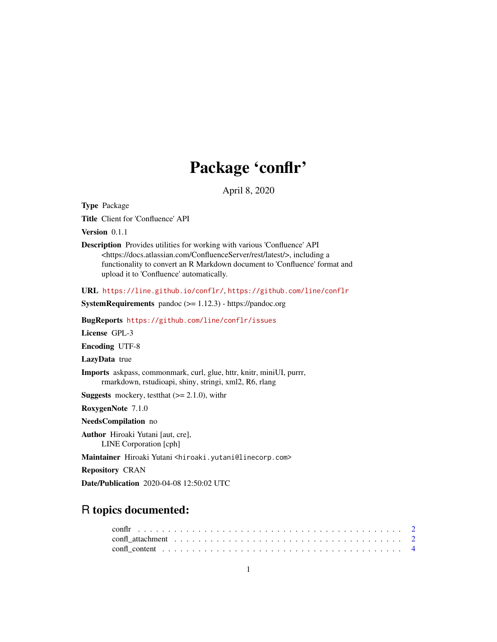## Package 'conflr'

April 8, 2020

Type Package

Title Client for 'Confluence' API

Version 0.1.1

Description Provides utilities for working with various 'Confluence' API <https://docs.atlassian.com/ConfluenceServer/rest/latest/>, including a functionality to convert an R Markdown document to 'Confluence' format and upload it to 'Confluence' automatically.

URL <https://line.github.io/conflr/>, <https://github.com/line/conflr>

SystemRequirements pandoc (>= 1.12.3) - https://pandoc.org

BugReports <https://github.com/line/conflr/issues>

License GPL-3

Encoding UTF-8

LazyData true

Imports askpass, commonmark, curl, glue, httr, knitr, miniUI, purrr, rmarkdown, rstudioapi, shiny, stringi, xml2, R6, rlang

**Suggests** mockery, test that  $(>= 2.1.0)$ , with r

RoxygenNote 7.1.0

NeedsCompilation no

Author Hiroaki Yutani [aut, cre], LINE Corporation [cph]

Maintainer Hiroaki Yutani <hiroaki.yutani@linecorp.com>

Repository CRAN

Date/Publication 2020-04-08 12:50:02 UTC

## R topics documented: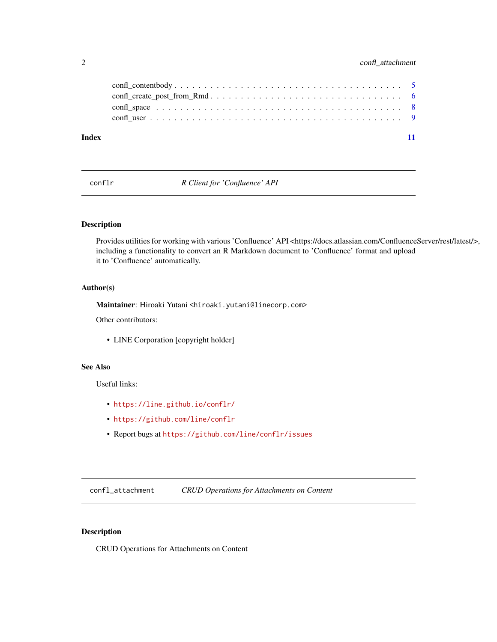## <span id="page-1-0"></span>2 confl\_attachment

| Index |  |
|-------|--|

conflr *R Client for 'Confluence' API*

## Description

Provides utilities for working with various 'Confluence' API <https://docs.atlassian.com/ConfluenceServer/rest/latest/>, including a functionality to convert an R Markdown document to 'Confluence' format and upload it to 'Confluence' automatically.

#### Author(s)

Maintainer: Hiroaki Yutani <hiroaki.yutani@linecorp.com>

Other contributors:

• LINE Corporation [copyright holder]

## See Also

Useful links:

- <https://line.github.io/conflr/>
- <https://github.com/line/conflr>
- Report bugs at <https://github.com/line/conflr/issues>

confl\_attachment *CRUD Operations for Attachments on Content*

## Description

CRUD Operations for Attachments on Content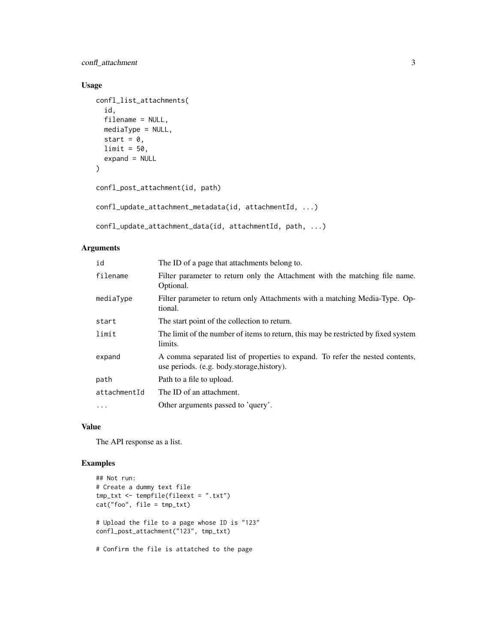confl\_attachment 3

### Usage

```
confl_list_attachments(
  id,
 filename = NULL,
 mediaType = NULL,
 start = 0,
 limit = 50,expand = NULL)
confl_post_attachment(id, path)
```

```
confl_update_attachment_metadata(id, attachmentId, ...)
```

```
confl_update_attachment_data(id, attachmentId, path, ...)
```
#### Arguments

| id           | The ID of a page that attachments belong to.                                                                                |
|--------------|-----------------------------------------------------------------------------------------------------------------------------|
| filename     | Filter parameter to return only the Attachment with the matching file name.<br>Optional.                                    |
| mediaType    | Filter parameter to return only Attachments with a matching Media-Type. Op-<br>tional.                                      |
| start        | The start point of the collection to return.                                                                                |
| limit        | The limit of the number of items to return, this may be restricted by fixed system<br>limits.                               |
| expand       | A comma separated list of properties to expand. To refer the nested contents,<br>use periods. (e.g. body.storage, history). |
| path         | Path to a file to upload.                                                                                                   |
| attachmentId | The ID of an attachment.                                                                                                    |
| $\cdot$      | Other arguments passed to 'query'.                                                                                          |

## Value

The API response as a list.

## Examples

```
## Not run:
# Create a dummy text file
tmp_txt <- tempfile(fileext = ".txt")
cat("foo", file = tmp_txt)
# Upload the file to a page whose ID is "123"
confl_post_attachment("123", tmp_txt)
# Confirm the file is attatched to the page
```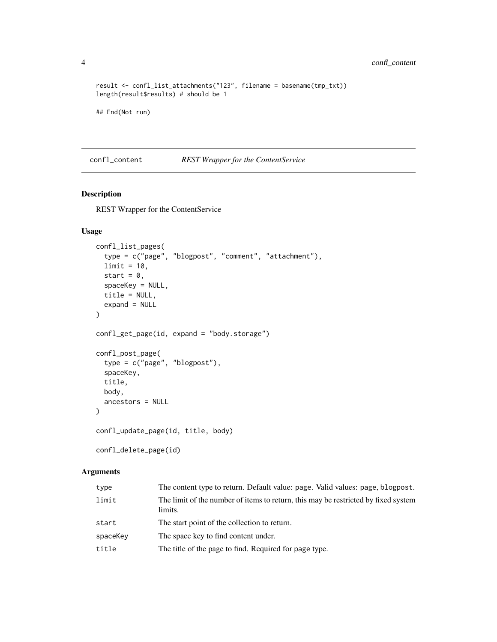```
result <- confl_list_attachments("123", filename = basename(tmp_txt))
length(result$results) # should be 1
```

```
## End(Not run)
```
confl\_content *REST Wrapper for the ContentService*

#### Description

REST Wrapper for the ContentService

## Usage

```
confl_list_pages(
  type = c("page", "blogpost", "comment", "attachment"),
  limit = 10,start = 0,
  spaceKey = NULL,
  title = NULL,
 expand = NULL\lambdaconfl_get_page(id, expand = "body.storage")
confl_post_page(
  type = c("page", "blogpost"),
  spaceKey,
 title,
 body,
  ancestors = NULL
)
confl_update_page(id, title, body)
confl_delete_page(id)
```
## Arguments

| type     | The content type to return. Default value: page. Valid values: page, blogpost.                |
|----------|-----------------------------------------------------------------------------------------------|
| limit    | The limit of the number of items to return, this may be restricted by fixed system<br>limits. |
| start    | The start point of the collection to return.                                                  |
| spaceKey | The space key to find content under.                                                          |
| title    | The title of the page to find. Required for page type.                                        |

<span id="page-3-0"></span>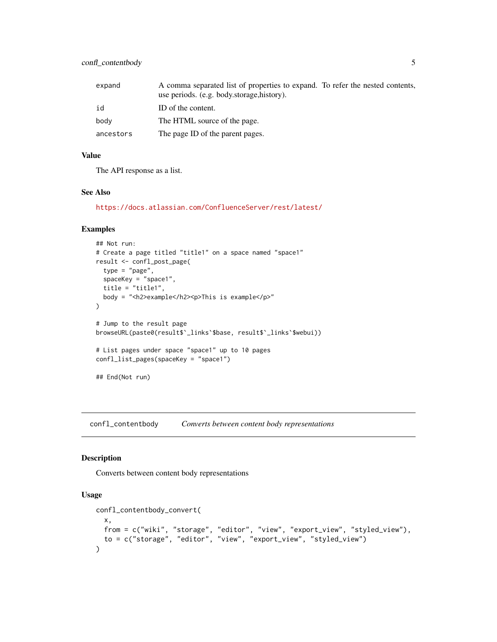<span id="page-4-0"></span>

| expand    | A comma separated list of properties to expand. To refer the nested contents,<br>use periods. (e.g. body.storage, history). |  |
|-----------|-----------------------------------------------------------------------------------------------------------------------------|--|
| id        | ID of the content.                                                                                                          |  |
| body      | The HTML source of the page.                                                                                                |  |
| ancestors | The page ID of the parent pages.                                                                                            |  |

#### Value

The API response as a list.

## See Also

<https://docs.atlassian.com/ConfluenceServer/rest/latest/>

#### Examples

```
## Not run:
# Create a page titled "title1" on a space named "space1"
result <- confl_post_page(
  type = "page",
 spaceKey = "space1",
 title = "title1",
  body = "<h2>example</h2><p>This is example</p>"
)
# Jump to the result page
browseURL(paste0(result$`_links`$base, result$`_links`$webui))
# List pages under space "space1" up to 10 pages
confl_list_pages(spaceKey = "space1")
## End(Not run)
```
confl\_contentbody *Converts between content body representations*

#### Description

Converts between content body representations

## Usage

```
confl_contentbody_convert(
 x,
 from = c("wiki", "storage", "editor", "view", "export_view", "styled_view"),
  to = c("storage", "editor", "view", "export_view", "styled_view")
\mathcal{L}
```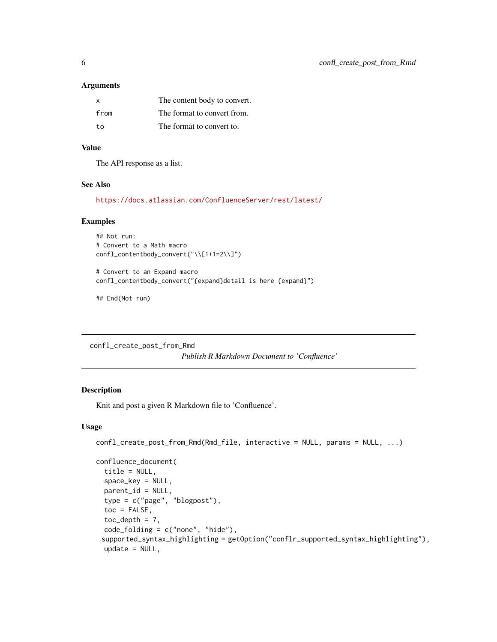#### <span id="page-5-0"></span>Arguments

| X    | The content body to convert. |
|------|------------------------------|
| from | The format to convert from.  |
| to   | The format to convert to.    |

## Value

The API response as a list.

#### See Also

<https://docs.atlassian.com/ConfluenceServer/rest/latest/>

#### Examples

```
## Not run:
# Convert to a Math macro
confl_contentbody_convert("\\[1+1=2\\]")
```
# Convert to an Expand macro confl\_contentbody\_convert("{expand}detail is here {expand}")

## End(Not run)

confl\_create\_post\_from\_Rmd

*Publish R Markdown Document to 'Confluence'*

## Description

Knit and post a given R Markdown file to 'Confluence'.

#### Usage

```
confl_create_post_from_Rmd(Rmd_file, interactive = NULL, params = NULL, ...)
confluence_document(
 title = NULL,
  space_key = NULL,
 parent_id = NULL,
  type = c("page", "blogpost"),
  toc = FALSE,toc_depth = 7,
  code_folding = c("none", "hide"),
 supported_syntax_highlighting = getOption("conflr_supported_syntax_highlighting"),
 update = NULL,
```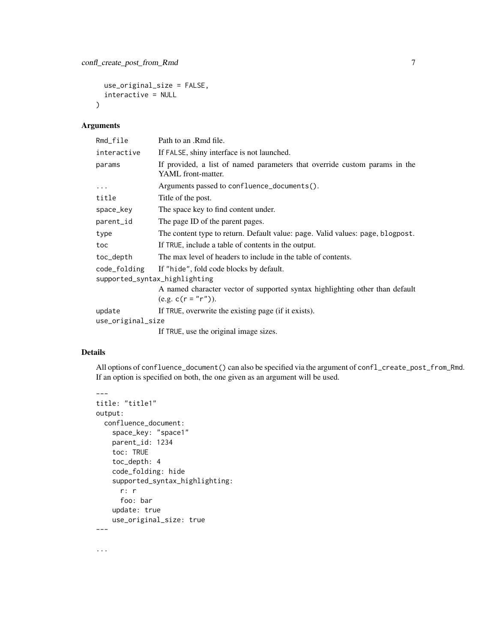```
use_original_size = FALSE,
  interactive = NULL
\lambda
```
## Arguments

| Rmd_file                      | Path to an .Rmd file.                                                                                |
|-------------------------------|------------------------------------------------------------------------------------------------------|
| interactive                   | If FALSE, shiny interface is not launched.                                                           |
| params                        | If provided, a list of named parameters that override custom params in the<br>YAML front-matter.     |
| $\cdots$                      | Arguments passed to confluence_documents().                                                          |
| title                         | Title of the post.                                                                                   |
| space_key                     | The space key to find content under.                                                                 |
| parent_id                     | The page ID of the parent pages.                                                                     |
| type                          | The content type to return. Default value: page. Valid values: page, blogpost.                       |
| toc                           | If TRUE, include a table of contents in the output.                                                  |
| toc_depth                     | The max level of headers to include in the table of contents.                                        |
| code_folding                  | If "hide", fold code blocks by default.                                                              |
| supported_syntax_highlighting |                                                                                                      |
|                               | A named character vector of supported syntax highlighting other than default<br>$(e.g. c(r = "r")).$ |
| update                        | If TRUE, overwrite the existing page (if it exists).                                                 |
| use_original_size             |                                                                                                      |
|                               | If TRUE, use the original image sizes.                                                               |

## Details

All options of confluence\_document() can also be specified via the argument of confl\_create\_post\_from\_Rmd. If an option is specified on both, the one given as an argument will be used.

```
---
title: "title1"
output:
 confluence_document:
   space_key: "space1"
   parent_id: 1234
   toc: TRUE
   toc_depth: 4
   code_folding: hide
   supported_syntax_highlighting:
     r: r
     foo: bar
   update: true
   use_original_size: true
---
...
```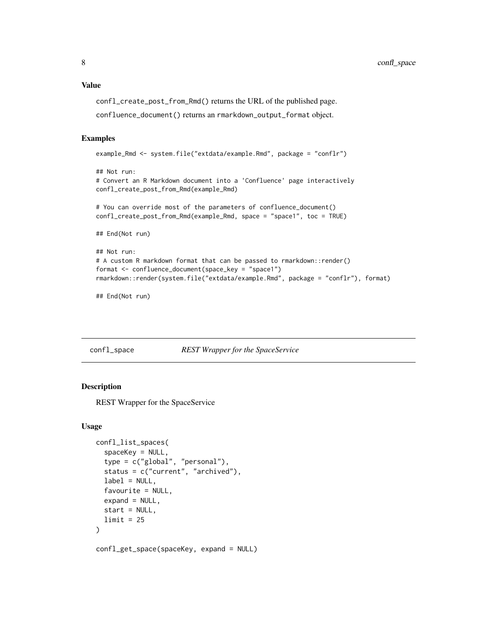#### <span id="page-7-0"></span>Value

confl\_create\_post\_from\_Rmd() returns the URL of the published page.

confluence\_document() returns an rmarkdown\_output\_format object.

#### Examples

```
example_Rmd <- system.file("extdata/example.Rmd", package = "conflr")
```

```
## Not run:
# Convert an R Markdown document into a 'Confluence' page interactively
confl_create_post_from_Rmd(example_Rmd)
# You can override most of the parameters of confluence_document()
confl_create_post_from_Rmd(example_Rmd, space = "space1", toc = TRUE)
## End(Not run)
## Not run:
# A custom R markdown format that can be passed to rmarkdown::render()
format <- confluence_document(space_key = "space1")
rmarkdown::render(system.file("extdata/example.Rmd", package = "conflr"), format)
```
## End(Not run)

confl\_space *REST Wrapper for the SpaceService*

#### Description

REST Wrapper for the SpaceService

#### Usage

```
confl_list_spaces(
  spaceKey = NULL,
  type = c("global", "personal"),
  status = c("current", "archived"),
  label = NULL,favourite = NULL,
  expand = NULL,start = NULL,
 limit = 25)
confl_get_space(spaceKey, expand = NULL)
```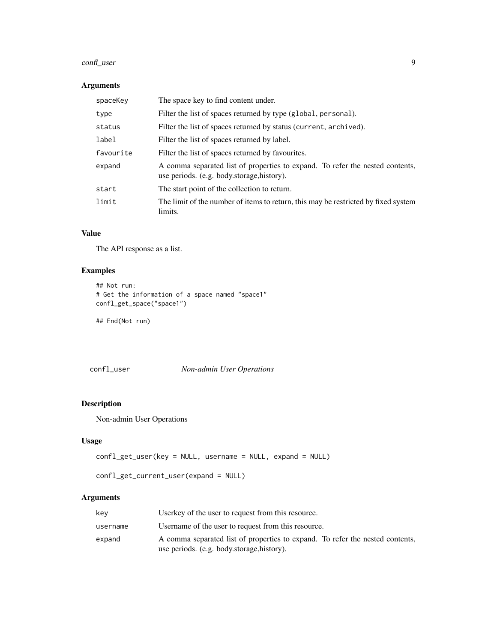## <span id="page-8-0"></span>confl\_user 9

## Arguments

| spaceKey  | The space key to find content under.                                                                                        |
|-----------|-----------------------------------------------------------------------------------------------------------------------------|
| type      | Filter the list of spaces returned by type (global, personal).                                                              |
| status    | Filter the list of spaces returned by status (current, archived).                                                           |
| label     | Filter the list of spaces returned by label.                                                                                |
| favourite | Filter the list of spaces returned by favourites.                                                                           |
| expand    | A comma separated list of properties to expand. To refer the nested contents,<br>use periods. (e.g. body.storage, history). |
| start     | The start point of the collection to return.                                                                                |
| limit     | The limit of the number of items to return, this may be restricted by fixed system<br>limits.                               |

## Value

The API response as a list.

## Examples

```
## Not run:
# Get the information of a space named "space1"
confl_get_space("space1")
```
## End(Not run)

confl\_user *Non-admin User Operations*

## Description

Non-admin User Operations

## Usage

```
confl_get_user(key = NULL, username = NULL, expand = NULL)
```

```
confl_get_current_user(expand = NULL)
```
## Arguments

| kev      | Userkey of the user to request from this resource.                            |
|----------|-------------------------------------------------------------------------------|
| username | Username of the user to request from this resource.                           |
| expand   | A comma separated list of properties to expand. To refer the nested contents, |
|          | use periods. (e.g. body.storage, history).                                    |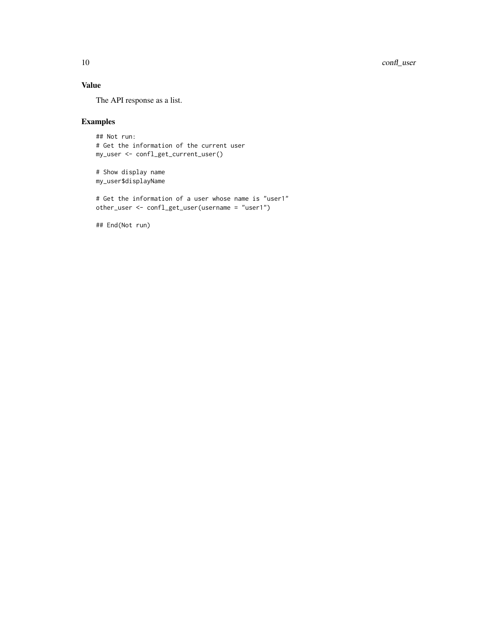## Value

The API response as a list.

## Examples

```
## Not run:
# Get the information of the current user
my_user <- confl_get_current_user()
```

```
# Show display name
my_user$displayName
```
# Get the information of a user whose name is "user1" other\_user <- confl\_get\_user(username = "user1")

## End(Not run)